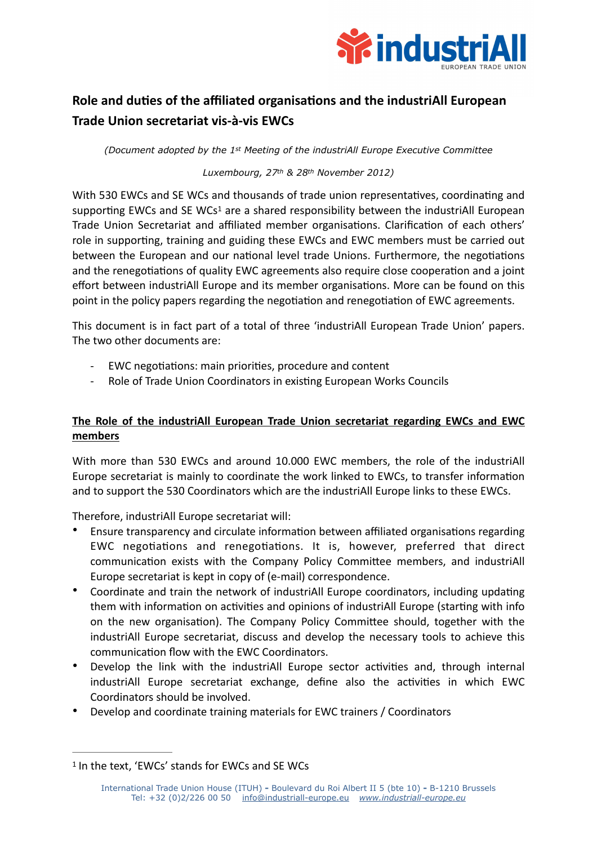

## **Role and duties of the affiliated organisations and the industriAll European Trade Union secretariat vis-à-vis EWCs**

*(Document adopted by the 1st Meeting of the industriAll Europe Executive Committee*

## <span id="page-0-1"></span>*Luxembourg, 27th & 28th November 2012)*

With 530 EWCs and SE WCs and thousands of trade union representatives, coordinating and supporting EWCs and SE WCs<sup>[1](#page-0-0)</sup> are a shared responsibility between the industriAll European Trade Union Secretariat and affiliated member organisations. Clarification of each others' role in supporting, training and guiding these EWCs and EWC members must be carried out between the European and our national level trade Unions. Furthermore, the negotiations and the renegotiations of quality EWC agreements also require close cooperation and a joint effort between industriAll Europe and its member organisations. More can be found on this point in the policy papers regarding the negotiation and renegotiation of EWC agreements.

This document is in fact part of a total of three 'industriAll European Trade Union' papers. The two other documents are:

- EWC negotiations: main priorities, procedure and content
- Role of Trade Union Coordinators in existing European Works Councils

## **The Role of the industriAll European Trade Union secretariat regarding EWCs and EWC members**

With more than 530 EWCs and around 10.000 EWC members, the role of the industriAll Europe secretariat is mainly to coordinate the work linked to EWCs, to transfer information and to support the 530 Coordinators which are the industriAll Europe links to these EWCs.

Therefore, industriAll Europe secretariat will:

- Ensure transparency and circulate information between affiliated organisations regarding EWC negotiations and renegotiations. It is, however, preferred that direct communication exists with the Company Policy Committee members, and industriAll Europe secretariat is kept in copy of (e-mail) correspondence.
- Coordinate and train the network of industriAll Europe coordinators, including updating them with information on activities and opinions of industriAll Europe (starting with info on the new organisation). The Company Policy Committee should, together with the industriAll Europe secretariat, discuss and develop the necessary tools to achieve this communication flow with the EWC Coordinators.
- Develop the link with the industriAll Europe sector activities and, through internal industriAll Europe secretariat exchange, define also the activities in which EWC Coordinators should be involved.
- Develop and coordinate training materials for EWC trainers / Coordinators

<span id="page-0-0"></span><sup>&</sup>lt;sup>[1](#page-0-1)</sup> In the text, 'EWCs' stands for EWCs and SE WCs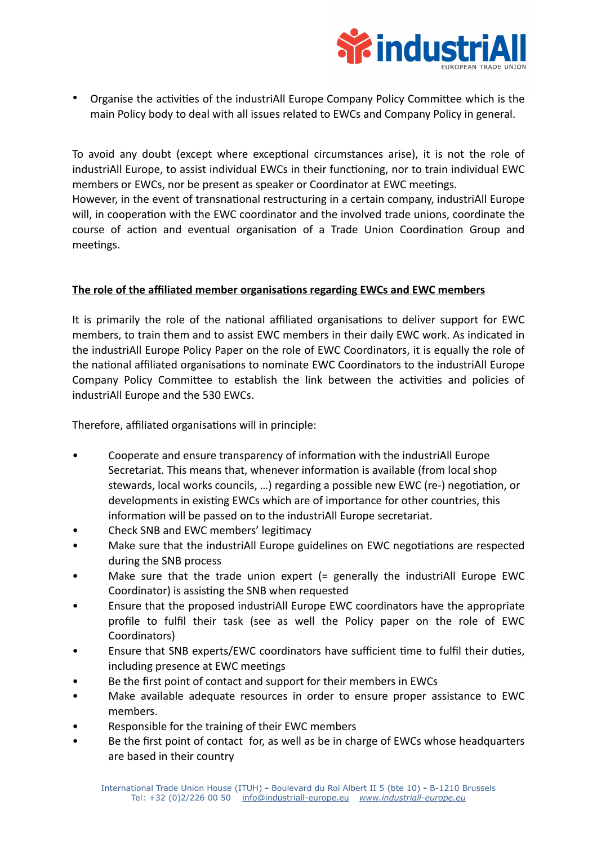

• Organise the activities of the industriAll Europe Company Policy Committee which is the main Policy body to deal with all issues related to EWCs and Company Policy in general.

To avoid any doubt (except where exceptional circumstances arise), it is not the role of industriAll Europe, to assist individual EWCs in their functioning, nor to train individual EWC members or EWCs, nor be present as speaker or Coordinator at EWC meetings. However, in the event of transnational restructuring in a certain company, industriAll Europe will, in cooperation with the EWC coordinator and the involved trade unions, coordinate the course of action and eventual organisation of a Trade Union Coordination Group and meetings.

## **The role of the affiliated member organisations regarding EWCs and EWC members**

It is primarily the role of the national affiliated organisations to deliver support for EWC members, to train them and to assist EWC members in their daily EWC work. As indicated in the industriAll Europe Policy Paper on the role of EWC Coordinators, it is equally the role of the national affiliated organisations to nominate EWC Coordinators to the industriAll Europe Company Policy Committee to establish the link between the activities and policies of industriAll Europe and the 530 EWCs.

Therefore, affiliated organisations will in principle:

- Cooperate and ensure transparency of information with the industriAll Europe Secretariat. This means that, whenever information is available (from local shop stewards, local works councils, …) regarding a possible new EWC (re-) negotiation, or developments in existing EWCs which are of importance for other countries, this information will be passed on to the industriAll Europe secretariat.
- Check SNB and EWC members' legitimacy
- Make sure that the industriAll Europe guidelines on EWC negotiations are respected during the SNB process
- Make sure that the trade union expert (= generally the industriAll Europe EWC Coordinator) is assisting the SNB when requested
- Ensure that the proposed industriAll Europe EWC coordinators have the appropriate profile to fulfil their task (see as well the Policy paper on the role of EWC Coordinators)
- Ensure that SNB experts/EWC coordinators have sufficient time to fulfil their duties, including presence at EWC meetings
- Be the first point of contact and support for their members in EWCs
- Make available adequate resources in order to ensure proper assistance to EWC members.
- Responsible for the training of their EWC members
- Be the first point of contact for, as well as be in charge of EWCs whose headquarters are based in their country